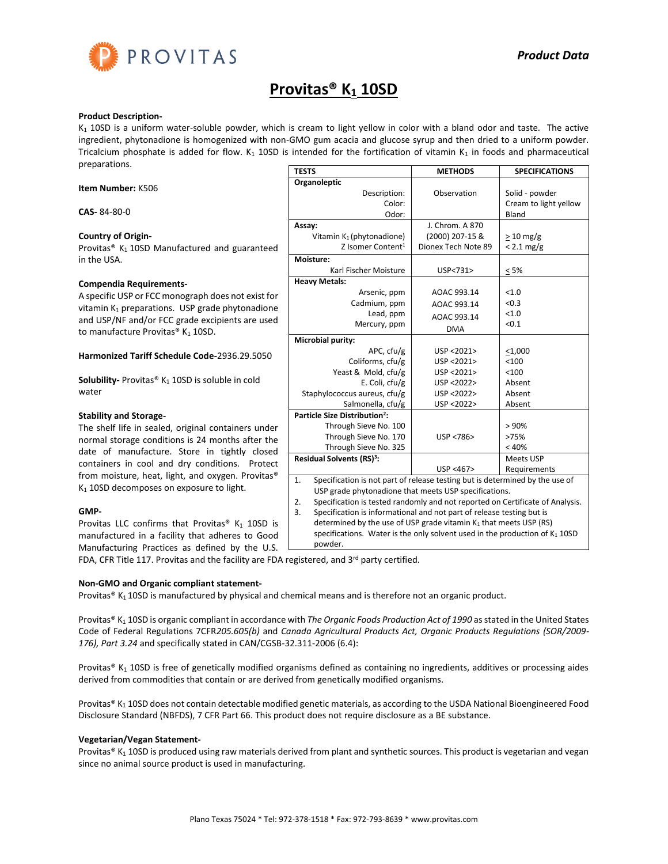

# **Provitas® K<sup>1</sup> 10SD**

## **Product Description-**

 $K_1$  10SD is a uniform water-soluble powder, which is cream to light yellow in color with a bland odor and taste. The active ingredient, phytonadione is homogenized with non-GMO gum acacia and glucose syrup and then dried to a uniform powder. Tricalcium phosphate is added for flow.  $K_1$  10SD is intended for the fortification of vitamin  $K_1$  in foods and pharmaceutical preparations.

**Item Number:** K506

**CAS-** 84-80-0

## **Country of Origin-**

Provitas<sup>®</sup> K<sub>1</sub> 10SD Manufactured and guaranteed in the USA.

#### **Compendia Requirements-**

A specific USP or FCC monograph does not exist for vitamin  $K_1$  preparations. USP grade phytonadione and USP/NF and/or FCC grade excipients are used to manufacture Provitas®  $K_1$  10SD.

## **Harmonized Tariff Schedule Code-**2936.29.5050

**Solubility-** Provitas<sup>®</sup> K<sub>1</sub> 10SD is soluble in cold water

# **Stability and Storage-**

The shelf life in sealed, original containers under normal storage conditions is 24 months after the date of manufacture. Store in tightly closed containers in cool and dry conditions. Protect from moisture, heat, light, and oxygen. Provitas®  $K<sub>1</sub>$  10SD decomposes on exposure to light.

# **GMP-**

Provitas LLC confirms that Provitas®  $K_1$  10SD is manufactured in a facility that adheres to Good Manufacturing Practices as defined by the U.S.<br>FDA CER Title 117 Practice and the facility are EDA

| FDA, CFR Title 117. Provitas and the facility are FDA registered, and 3 <sup>rd</sup> party certified. |  |  |
|--------------------------------------------------------------------------------------------------------|--|--|
|                                                                                                        |  |  |
|                                                                                                        |  |  |
|                                                                                                        |  |  |

# **Non-GMO and Organic compliant statement-**

Provitas®  $K_1$  10SD is manufactured by physical and chemical means and is therefore not an organic product.

Provitas® K<sub>1</sub> 10SD is organic compliant in accordance with *The Organic Foods Production Act of 1990* as stated in the United States Code of Federal Regulations 7CFR*205.605(b)* and *Canada Agricultural Products Act, Organic Products Regulations (SOR/2009- 176), Part 3.24* and specifically stated in CAN/CGSB-32.311-2006 (6.4):

Provitas® K<sub>1</sub> 10SD is free of genetically modified organisms defined as containing no ingredients, additives or processing aides derived from commodities that contain or are derived from genetically modified organisms.

Provitas® K<sub>1</sub> 10SD does not contain detectable modified genetic materials, as according to the USDA National Bioengineered Food Disclosure Standard (NBFDS), 7 CFR Part 66. This product does not require disclosure as a BE substance.

# **Vegetarian/Vegan Statement-**

Provitas® K<sub>1</sub> 10SD is produced using raw materials derived from plant and synthetic sources. This product is vegetarian and vegan since no animal source product is used in manufacturing.

| <b>TESTS</b>                                                                        | <b>METHODS</b>      | <b>SPECIFICATIONS</b> |  |
|-------------------------------------------------------------------------------------|---------------------|-----------------------|--|
| Organoleptic                                                                        |                     |                       |  |
| Description:                                                                        | Observation         | Solid - powder        |  |
| Color:                                                                              |                     | Cream to light yellow |  |
| Odor:                                                                               |                     | Bland                 |  |
| Assay:                                                                              | J. Chrom. A 870     |                       |  |
| Vitamin K <sub>1</sub> (phytonadione)                                               | (2000) 207-15 &     | $>10$ mg/g            |  |
| Z Isomer Content <sup>1</sup>                                                       | Dionex Tech Note 89 | $< 2.1$ mg/g          |  |
| Moisture:                                                                           |                     |                       |  |
| Karl Fischer Moisture                                                               | USP<731>            | < 5%                  |  |
| <b>Heavy Metals:</b>                                                                |                     |                       |  |
| Arsenic, ppm                                                                        | AOAC 993.14         | < 1.0                 |  |
| Cadmium, ppm                                                                        | AOAC 993.14         | < 0.3                 |  |
| Lead, ppm                                                                           | AOAC 993.14         | < 1.0                 |  |
| Mercury, ppm                                                                        | <b>DMA</b>          | < 0.1                 |  |
| Microbial purity:                                                                   |                     |                       |  |
| APC, cfu/g                                                                          | USP <2021>          | $<$ 1,000             |  |
| Coliforms, cfu/g                                                                    | USP <2021>          | < 100                 |  |
| Yeast & Mold, cfu/g                                                                 | USP <2021>          | < 100                 |  |
| E. Coli, cfu/g                                                                      | USP <2022>          | Absent                |  |
| Staphylococcus aureus, cfu/g                                                        | USP <2022>          | Absent                |  |
| Salmonella, cfu/g                                                                   | USP <2022>          | Absent                |  |
| Particle Size Distribution <sup>2</sup> :                                           |                     |                       |  |
| Through Sieve No. 100                                                               |                     | > 90%                 |  |
| Through Sieve No. 170                                                               | USP <786>           | >75%                  |  |
| Through Sieve No. 325                                                               |                     | < 40%                 |  |
| Residual Solvents (RS) <sup>3</sup> :                                               |                     | Meets USP             |  |
|                                                                                     | USP <467>           | Requirements          |  |
| Specification is not part of release testing but is determined by the use of<br>1.  |                     |                       |  |
| USP grade phytonadione that meets USP specifications.                               |                     |                       |  |
| Specification is tested randomly and not reported on Certificate of Analysis.<br>2. |                     |                       |  |

3. Specification is informational and not part of release testing but is

determined by the use of USP grade vitamin  $K_1$  that meets USP (RS) specifications. Water is the only solvent used in the production of  $K_1$  10SD powder.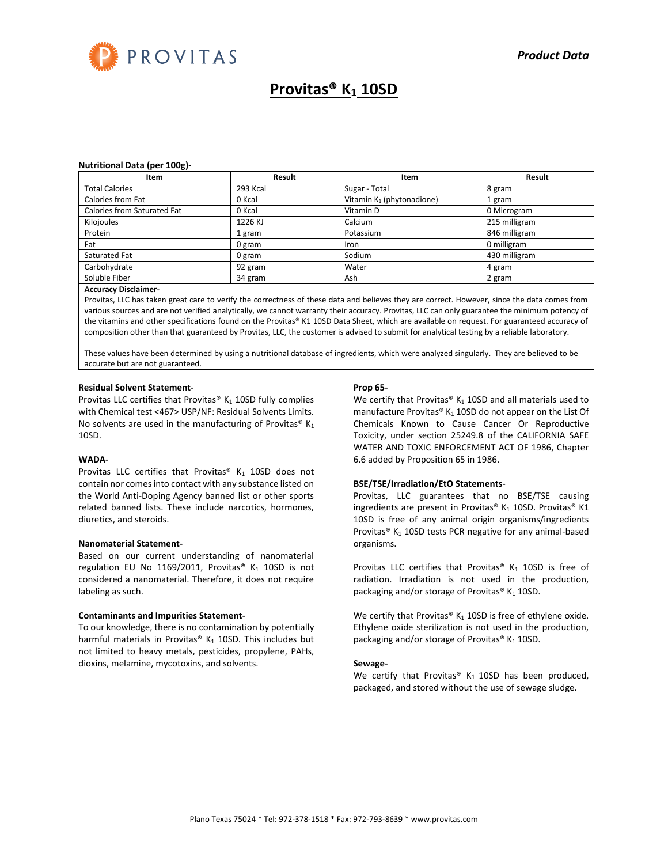

# **Provitas® K<sup>1</sup> 10SD**

#### **Nutritional Data (per 100g)-**

| Item                        | Result   | Item                                  | Result        |
|-----------------------------|----------|---------------------------------------|---------------|
| <b>Total Calories</b>       | 293 Kcal | Sugar - Total                         | 8 gram        |
| Calories from Fat           | 0 Kcal   | Vitamin K <sub>1</sub> (phytonadione) | 1 gram        |
| Calories from Saturated Fat | 0 Kcal   | Vitamin D                             | 0 Microgram   |
| Kilojoules                  | 1226 KJ  | Calcium                               | 215 milligram |
| Protein                     | 1 gram   | Potassium                             | 846 milligram |
| Fat                         | 0 gram   | Iron                                  | 0 milligram   |
| Saturated Fat               | 0 gram   | Sodium                                | 430 milligram |
| Carbohydrate                | 92 gram  | Water                                 | 4 gram        |
| Soluble Fiber               | 34 gram  | Ash                                   | 2 gram        |

#### **Accuracy Disclaimer-**

Provitas, LLC has taken great care to verify the correctness of these data and believes they are correct. However, since the data comes from various sources and are not verified analytically, we cannot warranty their accuracy. Provitas, LLC can only guarantee the minimum potency of the vitamins and other specifications found on the Provitas® K1 10SD Data Sheet, which are available on request. For guaranteed accuracy of composition other than that guaranteed by Provitas, LLC, the customer is advised to submit for analytical testing by a reliable laboratory.

These values have been determined by using a nutritional database of ingredients, which were analyzed singularly. They are believed to be accurate but are not guaranteed.

#### **Residual Solvent Statement-**

Provitas LLC certifies that Provitas®  $K_1$  10SD fully complies with Chemical test <467> USP/NF: Residual Solvents Limits. No solvents are used in the manufacturing of Provitas®  $K_1$ 10SD.

#### **WADA-**

Provitas LLC certifies that Provitas®  $K_1$  10SD does not contain nor comes into contact with any substance listed on the World Anti-Doping Agency banned list or other sports related banned lists. These include narcotics, hormones, diuretics, and steroids.

#### **Nanomaterial Statement-**

Based on our current understanding of nanomaterial regulation EU No 1169/2011, Provitas®  $K_1$  10SD is not considered a nanomaterial. Therefore, it does not require labeling as such.

#### **Contaminants and Impurities Statement-**

To our knowledge, there is no contamination by potentially harmful materials in Provitas®  $K_1$  10SD. This includes but not limited to heavy metals, pesticides, propylene, PAHs, dioxins, melamine, mycotoxins, and solvents.

#### **Prop 65-**

We certify that Provitas®  $K_1$  10SD and all materials used to manufacture Provitas®  $K_1$  10SD do not appear on the List Of Chemicals Known to Cause Cancer Or Reproductive Toxicity, under section 25249.8 of the CALIFORNIA SAFE WATER AND TOXIC ENFORCEMENT ACT OF 1986, Chapter 6.6 added by Proposition 65 in 1986.

#### **BSE/TSE/Irradiation/EtO Statements-**

Provitas, LLC guarantees that no BSE/TSE causing ingredients are present in Provitas® K<sub>1</sub> 10SD. Provitas® K1 10SD is free of any animal origin organisms/ingredients Provitas®  $K_1$  10SD tests PCR negative for any animal-based organisms.

Provitas LLC certifies that Provitas®  $K_1$  10SD is free of radiation. Irradiation is not used in the production, packaging and/or storage of Provitas®  $K_1$  10SD.

We certify that Provitas®  $K_1$  10SD is free of ethylene oxide. Ethylene oxide sterilization is not used in the production, packaging and/or storage of Provitas®  $K_1$  10SD.

## **Sewage-**

We certify that Provitas®  $K_1$  10SD has been produced, packaged, and stored without the use of sewage sludge.